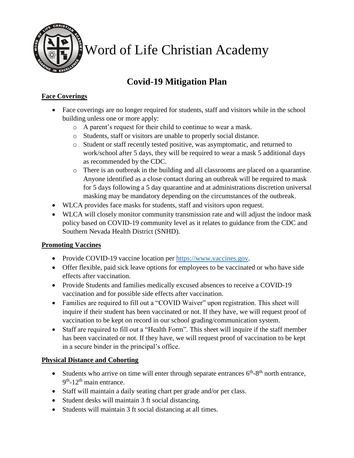

Word of Life Christian Academy

# **Covid-19 Mitigation Plan**

## **Face Coverings**

- Face coverings are no longer required for students, staff and visitors while in the school building unless one or more apply:
	- o A parent's request for their child to continue to wear a mask.
	- o Students, staff or visitors are unable to properly social distance.
	- o Student or staff recently tested positive, was asymptomatic, and returned to work/school after 5 days, they will be required to wear a mask 5 additional days as recommended by the CDC.
	- o There is an outbreak in the building and all classrooms are placed on a quarantine. Anyone identified as a close contact during an outbreak will be required to mask for 5 days following a 5 day quarantine and at administrations discretion universal masking may be mandatory depending on the circumstances of the outbreak.
- WLCA provides face masks for students, staff and visitors upon request.
- WLCA will closely monitor community transmission rate and will adjust the indoor mask policy based on COVID-19 community level as it relates to guidance from the CDC and Southern Nevada Health District (SNHD).

#### **Promoting Vaccines**

- Provide COVID-19 vaccine location per https://www.vaccines.gov.
- Offer flexible, paid sick leave options for employees to be vaccinated or who have side effects after vaccination.
- Provide Students and families medically excused absences to receive a COVID-19 vaccination and for possible side effects after vaccination.
- Families are required to fill out a "COVID Waiver" upon registration. This sheet will inquire if their student has been vaccinated or not. If they have, we will request proof of vaccination to be kept on record in our school grading/communication system.
- Staff are required to fill out a "Health Form". This sheet will inquire if the staff member has been vaccinated or not. If they have, we will request proof of vaccination to be kept in a secure binder in the principal's office.

# **Physical Distance and Cohorting**

- Students who arrive on time will enter through separate entrances  $6<sup>th</sup>-8<sup>th</sup>$  north entrance, 9<sup>th</sup>-12<sup>th</sup> main entrance.
- Staff will maintain a daily seating chart per grade and/or per class.
- Student desks will maintain 3 ft social distancing.
- Students will maintain 3 ft social distancing at all times.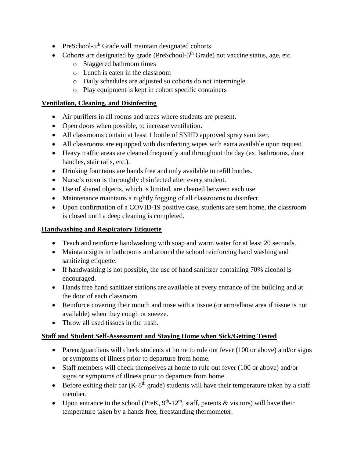- PreSchool-5<sup>th</sup> Grade will maintain designated cohorts.
- Cohorts are designated by grade (PreSchool-5<sup>th</sup> Grade) not vaccine status, age, etc.
	- o Staggered bathroom times
	- o Lunch is eaten in the classroom
	- o Daily schedules are adjusted so cohorts do not intermingle
	- o Play equipment is kept in cohort specific containers

### **Ventilation, Cleaning, and Disinfecting**

- Air purifiers in all rooms and areas where students are present.
- Open doors when possible, to increase ventilation.
- All classrooms contain at least 1 bottle of SNHD approved spray sanitizer.
- All classrooms are equipped with disinfecting wipes with extra available upon request.
- Heavy traffic areas are cleaned frequently and throughout the day (ex. bathrooms, door handles, stair rails, etc.).
- Drinking fountains are hands free and only available to refill bottles.
- Nurse's room is thoroughly disinfected after every student.
- Use of shared objects, which is limited, are cleaned between each use.
- Maintenance maintains a nightly fogging of all classrooms to disinfect.
- Upon confirmation of a COVID-19 positive case, students are sent home, the classroom is closed until a deep cleaning is completed.

# **Handwashing and Respiratory Etiquette**

- Teach and reinforce handwashing with soap and warm water for at least 20 seconds.
- Maintain signs in bathrooms and around the school reinforcing hand washing and sanitizing etiquette.
- If handwashing is not possible, the use of hand sanitizer containing 70% alcohol is encouraged.
- Hands free hand sanitizer stations are available at every entrance of the building and at the door of each classroom.
- Reinforce covering their mouth and nose with a tissue (or arm/elbow area if tissue is not available) when they cough or sneeze.
- Throw all used tissues in the trash.

# **Staff and Student Self-Assessment and Staying Home when Sick/Getting Tested**

- Parent/guardians will check students at home to rule out fever (100 or above) and/or signs or symptoms of illness prior to departure from home.
- Staff members will check themselves at home to rule out fever (100 or above) and/or signs or symptoms of illness prior to departure from home.
- Before exiting their car  $(K-8<sup>th</sup>$  grade) students will have their temperature taken by a staff member.
- Upon entrance to the school (PreK,  $9<sup>th</sup>$ -12<sup>th</sup>, staff, parents & visitors) will have their temperature taken by a hands free, freestanding thermometer.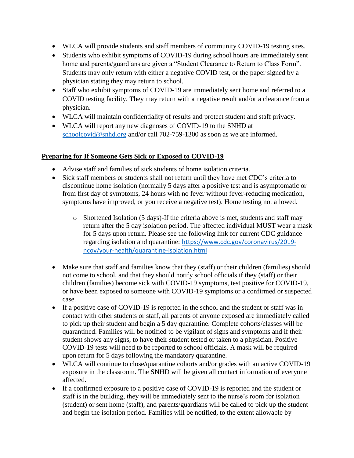- WLCA will provide students and staff members of community COVID-19 testing sites.
- Students who exhibit symptoms of COVID-19 during school hours are immediately sent home and parents/guardians are given a "Student Clearance to Return to Class Form". Students may only return with either a negative COVID test, or the paper signed by a physician stating they may return to school.
- Staff who exhibit symptoms of COVID-19 are immediately sent home and referred to a COVID testing facility. They may return with a negative result and/or a clearance from a physician.
- WLCA will maintain confidentiality of results and protect student and staff privacy.
- WLCA will report any new diagnoses of COVID-19 to the SNHD at schoolcovid@snhd.org and/or call 702-759-1300 as soon as we are informed.

#### **Preparing for If Someone Gets Sick or Exposed to COVID-19**

- Advise staff and families of sick students of home isolation criteria.
- Sick staff members or students shall not return until they have met CDC's criteria to discontinue home isolation (normally 5 days after a positive test and is asymptomatic or from first day of symptoms, 24 hours with no fever without fever-reducing medication, symptoms have improved, or you receive a negative test). Home testing not allowed.
	- $\circ$  Shortened Isolation (5 days)-If the criteria above is met, students and staff may return after the 5 day isolation period. The affected individual MUST wear a mask for 5 days upon return. Please see the following link for current CDC guidance regarding isolation and quarantine: https://www.cdc.gov/coronavirus/2019 ncov/your-health/quarantine-isolation.html
- Make sure that staff and families know that they (staff) or their children (families) should not come to school, and that they should notify school officials if they (staff) or their children (families) become sick with COVID-19 symptoms, test positive for COVID-19, or have been exposed to someone with COVID-19 symptoms or a confirmed or suspected case.
- If a positive case of COVID-19 is reported in the school and the student or staff was in contact with other students or staff, all parents of anyone exposed are immediately called to pick up their student and begin a 5 day quarantine. Complete cohorts/classes will be quarantined. Families will be notified to be vigilant of signs and symptoms and if their student shows any signs, to have their student tested or taken to a physician. Positive COVID-19 tests will need to be reported to school officials. A mask will be required upon return for 5 days following the mandatory quarantine.
- WLCA will continue to close/quarantine cohorts and/or grades with an active COVID-19 exposure in the classroom. The SNHD will be given all contact information of everyone affected.
- If a confirmed exposure to a positive case of COVID-19 is reported and the student or staff is in the building, they will be immediately sent to the nurse's room for isolation (student) or sent home (staff), and parents/guardians will be called to pick up the student and begin the isolation period. Families will be notified, to the extent allowable by